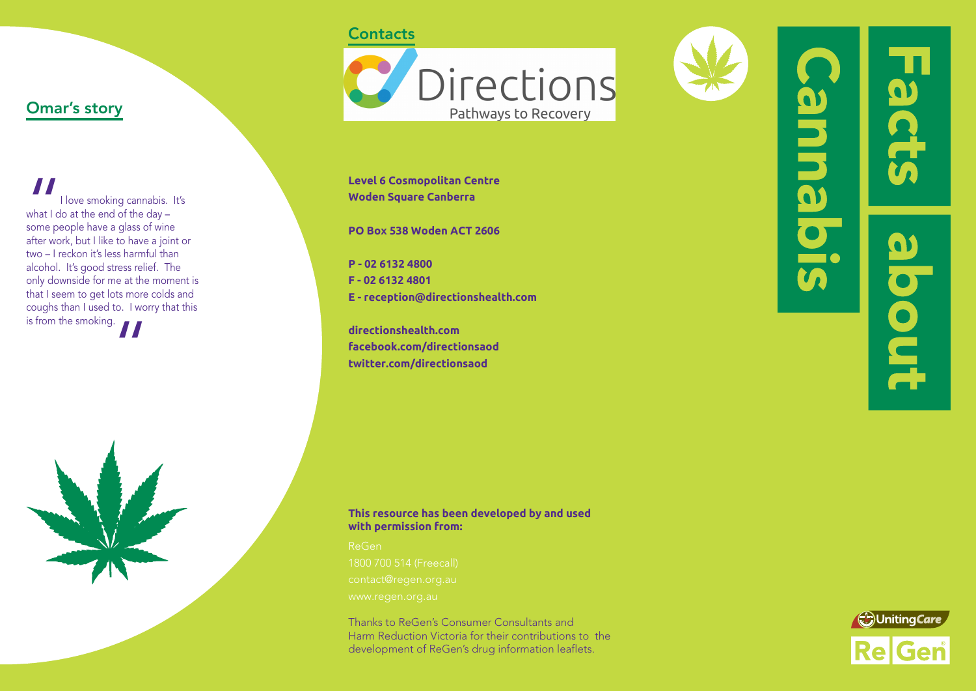## **Contacts**



**Level 6 Cosmopolitan Centre Woden Square Canberra**

**PO Box 538 Woden ACT 2606**

**P - 02 6132 4800 F - 02 6132 4801 E - reception@directionshealth.com**

**directionshealth.com facebook.com/directionsaod twitter.com/directionsaod**

idenne

 $\mathbf{\Omega}$ pout

**In** 

What I dividend<br>
some personnely

I love smoking cannabis. It's

what I do at the end of the day – some people have a glass of wine after work, but I like to have a joint or two – I reckon it's less harmful than alcohol. It's good stress relief. The only downside for me at the moment is that I seem to get lots more colds and coughs than I used to. I worry that this

Omar's story

is from the smoking.<br> $\blacksquare$ 

### **This resource has been developed by and used with permission from:**

Thanks to ReGen's Consumer Consultants and Harm Reduction Victoria for their contributions to the development of ReGen's drug information leaflets.